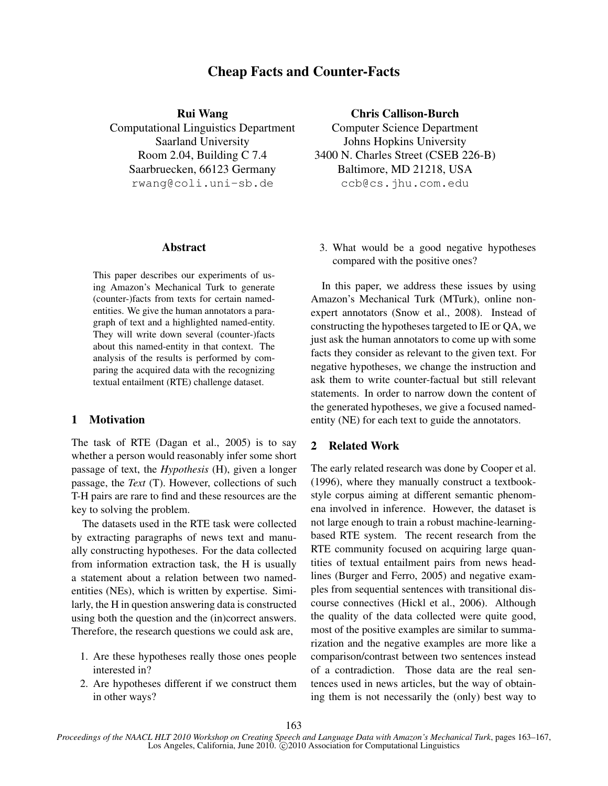# Cheap Facts and Counter-Facts

Rui Wang

Computational Linguistics Department Saarland University Room 2.04, Building C 7.4 Saarbruecken, 66123 Germany rwang@coli.uni-sb.de

## Abstract

This paper describes our experiments of using Amazon's Mechanical Turk to generate (counter-)facts from texts for certain namedentities. We give the human annotators a paragraph of text and a highlighted named-entity. They will write down several (counter-)facts about this named-entity in that context. The analysis of the results is performed by comparing the acquired data with the recognizing textual entailment (RTE) challenge dataset.

# 1 Motivation

The task of RTE (Dagan et al., 2005) is to say whether a person would reasonably infer some short passage of text, the *Hypothesis* (H), given a longer passage, the *Text* (T). However, collections of such T-H pairs are rare to find and these resources are the key to solving the problem.

The datasets used in the RTE task were collected by extracting paragraphs of news text and manually constructing hypotheses. For the data collected from information extraction task, the H is usually a statement about a relation between two namedentities (NEs), which is written by expertise. Similarly, the H in question answering data is constructed using both the question and the (in)correct answers. Therefore, the research questions we could ask are,

- 1. Are these hypotheses really those ones people interested in?
- 2. Are hypotheses different if we construct them in other ways?

## Chris Callison-Burch

Computer Science Department Johns Hopkins University 3400 N. Charles Street (CSEB 226-B) Baltimore, MD 21218, USA ccb@cs.jhu.com.edu

3. What would be a good negative hypotheses compared with the positive ones?

In this paper, we address these issues by using Amazon's Mechanical Turk (MTurk), online nonexpert annotators (Snow et al., 2008). Instead of constructing the hypotheses targeted to IE or QA, we just ask the human annotators to come up with some facts they consider as relevant to the given text. For negative hypotheses, we change the instruction and ask them to write counter-factual but still relevant statements. In order to narrow down the content of the generated hypotheses, we give a focused namedentity (NE) for each text to guide the annotators.

#### 2 Related Work

The early related research was done by Cooper et al. (1996), where they manually construct a textbookstyle corpus aiming at different semantic phenomena involved in inference. However, the dataset is not large enough to train a robust machine-learningbased RTE system. The recent research from the RTE community focused on acquiring large quantities of textual entailment pairs from news headlines (Burger and Ferro, 2005) and negative examples from sequential sentences with transitional discourse connectives (Hickl et al., 2006). Although the quality of the data collected were quite good, most of the positive examples are similar to summarization and the negative examples are more like a comparison/contrast between two sentences instead of a contradiction. Those data are the real sentences used in news articles, but the way of obtaining them is not necessarily the (only) best way to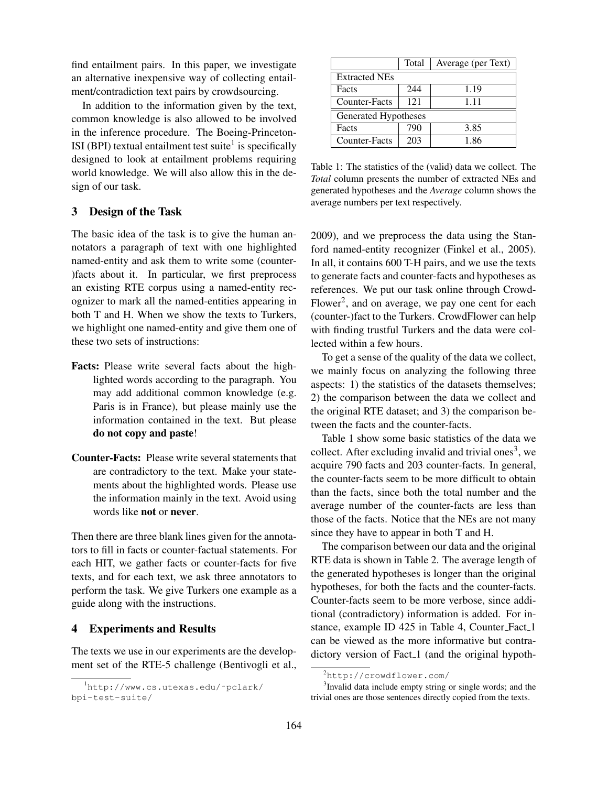find entailment pairs. In this paper, we investigate an alternative inexpensive way of collecting entailment/contradiction text pairs by crowdsourcing.

In addition to the information given by the text, common knowledge is also allowed to be involved in the inference procedure. The Boeing-Princeton-ISI (BPI) textual entailment test suite $<sup>1</sup>$  is specifically</sup> designed to look at entailment problems requiring world knowledge. We will also allow this in the design of our task.

## 3 Design of the Task

The basic idea of the task is to give the human annotators a paragraph of text with one highlighted named-entity and ask them to write some (counter- )facts about it. In particular, we first preprocess an existing RTE corpus using a named-entity recognizer to mark all the named-entities appearing in both T and H. When we show the texts to Turkers, we highlight one named-entity and give them one of these two sets of instructions:

- Facts: Please write several facts about the highlighted words according to the paragraph. You may add additional common knowledge (e.g. Paris is in France), but please mainly use the information contained in the text. But please do not copy and paste!
- Counter-Facts: Please write several statements that are contradictory to the text. Make your statements about the highlighted words. Please use the information mainly in the text. Avoid using words like not or never.

Then there are three blank lines given for the annotators to fill in facts or counter-factual statements. For each HIT, we gather facts or counter-facts for five texts, and for each text, we ask three annotators to perform the task. We give Turkers one example as a guide along with the instructions.

### 4 Experiments and Results

The texts we use in our experiments are the development set of the RTE-5 challenge (Bentivogli et al.,

|                      | Total | Average (per Text) |
|----------------------|-------|--------------------|
| <b>Extracted NEs</b> |       |                    |
| Facts                | 244   | 1.19               |
| Counter-Facts        | 121   | 1.11               |
| Generated Hypotheses |       |                    |
| Facts                | 790   | 3.85               |
| Counter-Facts        | 203   | 1.86               |

Table 1: The statistics of the (valid) data we collect. The *Total* column presents the number of extracted NEs and generated hypotheses and the *Average* column shows the average numbers per text respectively.

2009), and we preprocess the data using the Stanford named-entity recognizer (Finkel et al., 2005). In all, it contains 600 T-H pairs, and we use the texts to generate facts and counter-facts and hypotheses as references. We put our task online through Crowd-Flower<sup>2</sup>, and on average, we pay one cent for each (counter-)fact to the Turkers. CrowdFlower can help with finding trustful Turkers and the data were collected within a few hours.

To get a sense of the quality of the data we collect, we mainly focus on analyzing the following three aspects: 1) the statistics of the datasets themselves; 2) the comparison between the data we collect and the original RTE dataset; and 3) the comparison between the facts and the counter-facts.

Table 1 show some basic statistics of the data we collect. After excluding invalid and trivial ones<sup>3</sup>, we acquire 790 facts and 203 counter-facts. In general, the counter-facts seem to be more difficult to obtain than the facts, since both the total number and the average number of the counter-facts are less than those of the facts. Notice that the NEs are not many since they have to appear in both T and H.

The comparison between our data and the original RTE data is shown in Table 2. The average length of the generated hypotheses is longer than the original hypotheses, for both the facts and the counter-facts. Counter-facts seem to be more verbose, since additional (contradictory) information is added. For instance, example ID 425 in Table 4, Counter\_Fact\_1 can be viewed as the more informative but contradictory version of Fact<sub>-1</sub> (and the original hypoth-

<sup>1</sup>http://www.cs.utexas.edu/˜pclark/ bpi-test-suite/

<sup>2</sup>http://crowdflower.com/

<sup>&</sup>lt;sup>3</sup> Invalid data include empty string or single words; and the trivial ones are those sentences directly copied from the texts.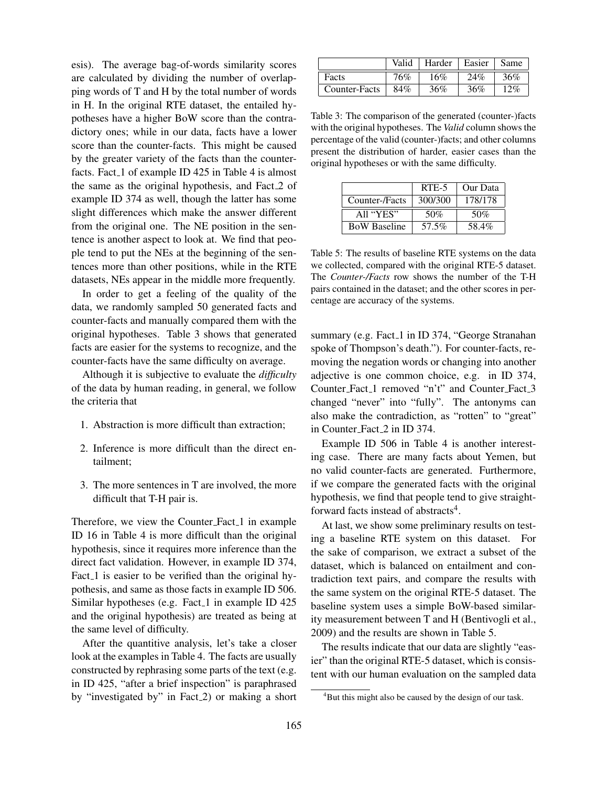esis). The average bag-of-words similarity scores are calculated by dividing the number of overlapping words of T and H by the total number of words in H. In the original RTE dataset, the entailed hypotheses have a higher BoW score than the contradictory ones; while in our data, facts have a lower score than the counter-facts. This might be caused by the greater variety of the facts than the counterfacts. Fact 1 of example ID 425 in Table 4 is almost the same as the original hypothesis, and Fact 2 of example ID 374 as well, though the latter has some slight differences which make the answer different from the original one. The NE position in the sentence is another aspect to look at. We find that people tend to put the NEs at the beginning of the sentences more than other positions, while in the RTE datasets, NEs appear in the middle more frequently.

In order to get a feeling of the quality of the data, we randomly sampled 50 generated facts and counter-facts and manually compared them with the original hypotheses. Table 3 shows that generated facts are easier for the systems to recognize, and the counter-facts have the same difficulty on average.

Although it is subjective to evaluate the *difficulty* of the data by human reading, in general, we follow the criteria that

- 1. Abstraction is more difficult than extraction;
- 2. Inference is more difficult than the direct entailment;
- 3. The more sentences in T are involved, the more difficult that T-H pair is.

Therefore, we view the Counter Fact 1 in example ID 16 in Table 4 is more difficult than the original hypothesis, since it requires more inference than the direct fact validation. However, in example ID 374, Fact<sub>-1</sub> is easier to be verified than the original hypothesis, and same as those facts in example ID 506. Similar hypotheses (e.g. Fact  $1$  in example ID 425 and the original hypothesis) are treated as being at the same level of difficulty.

After the quantitive analysis, let's take a closer look at the examples in Table 4. The facts are usually constructed by rephrasing some parts of the text (e.g. in ID 425, "after a brief inspection" is paraphrased by "investigated by" in Fact<sub>-2</sub>) or making a short

|               | Valid | Harder | Easier | Same |
|---------------|-------|--------|--------|------|
| Facts         | 76%   | 16%    | 24%    | 36%  |
| Counter-Facts | 84%   | 36%    | 36%    | 12%  |

Table 3: The comparison of the generated (counter-)facts with the original hypotheses. The *Valid* column shows the percentage of the valid (counter-)facts; and other columns present the distribution of harder, easier cases than the original hypotheses or with the same difficulty.

|                     | RTE-5   | Our Data |
|---------------------|---------|----------|
| Counter-/Facts      | 300/300 | 178/178  |
| All "YES"           | 50%     | 50%      |
| <b>BoW Baseline</b> | 57.5%   | 58.4%    |

Table 5: The results of baseline RTE systems on the data we collected, compared with the original RTE-5 dataset. The *Counter-/Facts* row shows the number of the T-H pairs contained in the dataset; and the other scores in percentage are accuracy of the systems.

summary (e.g. Fact 1 in ID 374, "George Stranahan spoke of Thompson's death."). For counter-facts, removing the negation words or changing into another adjective is one common choice, e.g. in ID 374, Counter Fact 1 removed "n't" and Counter Fact 3 changed "never" into "fully". The antonyms can also make the contradiction, as "rotten" to "great" in Counter Fact 2 in ID 374.

Example ID 506 in Table 4 is another interesting case. There are many facts about Yemen, but no valid counter-facts are generated. Furthermore, if we compare the generated facts with the original hypothesis, we find that people tend to give straightforward facts instead of abstracts<sup>4</sup>.

At last, we show some preliminary results on testing a baseline RTE system on this dataset. For the sake of comparison, we extract a subset of the dataset, which is balanced on entailment and contradiction text pairs, and compare the results with the same system on the original RTE-5 dataset. The baseline system uses a simple BoW-based similarity measurement between T and H (Bentivogli et al., 2009) and the results are shown in Table 5.

The results indicate that our data are slightly "easier" than the original RTE-5 dataset, which is consistent with our human evaluation on the sampled data

<sup>&</sup>lt;sup>4</sup>But this might also be caused by the design of our task.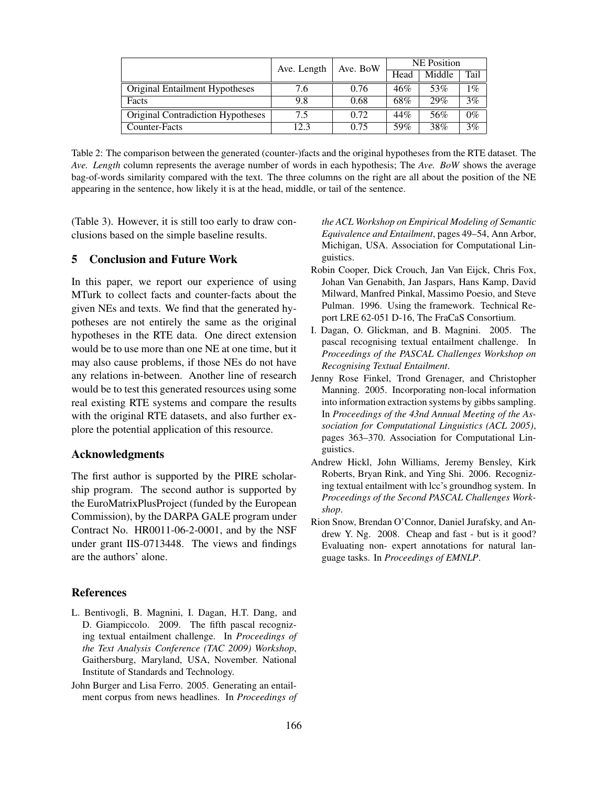|                                   | Ave. Length | Ave. BoW | <b>NE</b> Position |        |       |
|-----------------------------------|-------------|----------|--------------------|--------|-------|
|                                   |             |          | Head               | Middle | Tail  |
| Original Entailment Hypotheses    | 7.6         | 0.76     | 46%                | 53%    | $1\%$ |
| Facts                             | 9.8         | 0.68     | 68%                | 29%    | 3%    |
| Original Contradiction Hypotheses | 7.5         | 0.72     | 44%                | 56%    | $0\%$ |
| Counter-Facts                     | 12.3        | 0.75     | 59%                | 38%    | 3%    |

Table 2: The comparison between the generated (counter-)facts and the original hypotheses from the RTE dataset. The *Ave. Length* column represents the average number of words in each hypothesis; The *Ave. BoW* shows the average bag-of-words similarity compared with the text. The three columns on the right are all about the position of the NE appearing in the sentence, how likely it is at the head, middle, or tail of the sentence.

(Table 3). However, it is still too early to draw conclusions based on the simple baseline results.

#### 5 Conclusion and Future Work

In this paper, we report our experience of using MTurk to collect facts and counter-facts about the given NEs and texts. We find that the generated hypotheses are not entirely the same as the original hypotheses in the RTE data. One direct extension would be to use more than one NE at one time, but it may also cause problems, if those NEs do not have any relations in-between. Another line of research would be to test this generated resources using some real existing RTE systems and compare the results with the original RTE datasets, and also further explore the potential application of this resource.

### Acknowledgments

The first author is supported by the PIRE scholarship program. The second author is supported by the EuroMatrixPlusProject (funded by the European Commission), by the DARPA GALE program under Contract No. HR0011-06-2-0001, and by the NSF under grant IIS-0713448. The views and findings are the authors' alone.

### **References**

- L. Bentivogli, B. Magnini, I. Dagan, H.T. Dang, and D. Giampiccolo. 2009. The fifth pascal recognizing textual entailment challenge. In *Proceedings of the Text Analysis Conference (TAC 2009) Workshop*, Gaithersburg, Maryland, USA, November. National Institute of Standards and Technology.
- John Burger and Lisa Ferro. 2005. Generating an entailment corpus from news headlines. In *Proceedings of*

*the ACL Workshop on Empirical Modeling of Semantic Equivalence and Entailment*, pages 49–54, Ann Arbor, Michigan, USA. Association for Computational Linguistics.

- Robin Cooper, Dick Crouch, Jan Van Eijck, Chris Fox, Johan Van Genabith, Jan Jaspars, Hans Kamp, David Milward, Manfred Pinkal, Massimo Poesio, and Steve Pulman. 1996. Using the framework. Technical Report LRE 62-051 D-16, The FraCaS Consortium.
- I. Dagan, O. Glickman, and B. Magnini. 2005. The pascal recognising textual entailment challenge. In *Proceedings of the PASCAL Challenges Workshop on Recognising Textual Entailment*.
- Jenny Rose Finkel, Trond Grenager, and Christopher Manning. 2005. Incorporating non-local information into information extraction systems by gibbs sampling. In *Proceedings of the 43nd Annual Meeting of the Association for Computational Linguistics (ACL 2005)*, pages 363–370. Association for Computational Linguistics.
- Andrew Hickl, John Williams, Jeremy Bensley, Kirk Roberts, Bryan Rink, and Ying Shi. 2006. Recognizing textual entailment with lcc's groundhog system. In *Proceedings of the Second PASCAL Challenges Workshop*.
- Rion Snow, Brendan O'Connor, Daniel Jurafsky, and Andrew Y. Ng. 2008. Cheap and fast - but is it good? Evaluating non- expert annotations for natural language tasks. In *Proceedings of EMNLP*.